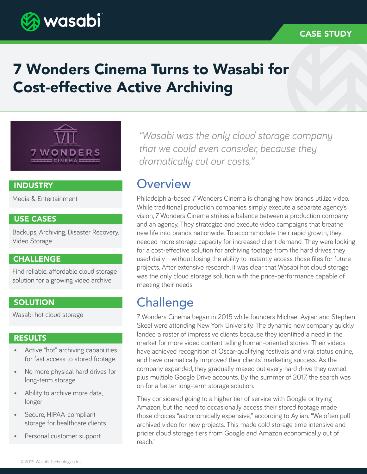

# 7 Wonders Cinema Turns to Wasabi for Cost-effective Active Archiving



### INDUSTRY

Media & Entertainment

### USE CASES

Backups, Archiving, Disaster Recovery, Video Storage

### **CHALLENGE**

Find reliable, affordable cloud storage solution for a growing video archive

### **SOLUTION**

Wasabi hot cloud storage

#### RESULTS

- Active "hot" archiving capabilities for fast access to stored footage
- No more physical hard drives for long-term storage
- Ability to archive more data, longer
- Secure, HIPAA-compliant storage for healthcare clients
- Personal customer support

*"Wasabi was the only cloud storage company that we could even consider, because they dramatically cut our costs."*

### **Overview**

Philadelphia-based 7 Wonders Cinema is changing how brands utilize video. While traditional production companies simply execute a separate agency's vision, 7 Wonders Cinema strikes a balance between a production company and an agency. They strategize and execute video campaigns that breathe new life into brands nationwide. To accommodate their rapid growth, they needed more storage capacity for increased client demand. They were looking for a cost-effective solution for archiving footage from the hard drives they used daily—without losing the ability to instantly access those files for future projects. After extensive research, it was clear that Wasabi hot cloud storage was the only cloud storage solution with the price-performance capable of meeting their needs.

### **Challenge**

7 Wonders Cinema began in 2015 while founders Michael Ayjian and Stephen Skeel were attending New York University. The dynamic new company quickly landed a roster of impressive clients because they identified a need in the market for more video content telling human-oriented stories. Their videos have achieved recognition at Oscar-qualifying festivals and viral status online, and have dramatically improved their clients' marketing success. As the company expanded, they gradually maxed out every hard drive they owned plus multiple Google Drive accounts. By the summer of 2017, the search was on for a better long-term storage solution.

They considered going to a higher tier of service with Google or trying Amazon, but the need to occasionally access their stored footage made those choices "astronomically expensive," according to Ayjian. "We often pull archived video for new projects. This made cold storage time intensive and pricier cloud storage tiers from Google and Amazon economically out of reach."